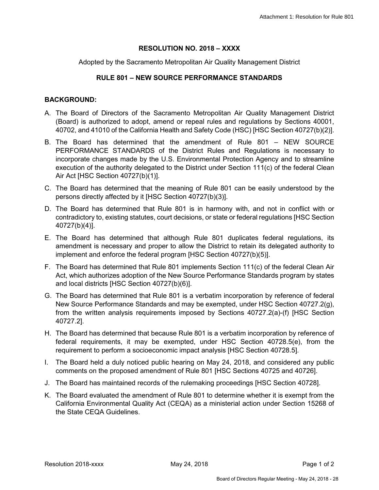## **RESOLUTION NO. 2018 – XXXX**

Adopted by the Sacramento Metropolitan Air Quality Management District

## **RULE 801 – NEW SOURCE PERFORMANCE STANDARDS**

## **BACKGROUND:**

- A. The Board of Directors of the Sacramento Metropolitan Air Quality Management District (Board) is authorized to adopt, amend or repeal rules and regulations by Sections 40001, 40702, and 41010 of the California Health and Safety Code (HSC) [HSC Section 40727(b)(2)].
- B. The Board has determined that the amendment of Rule 801 NEW SOURCE PERFORMANCE STANDARDS of the District Rules and Regulations is necessary to incorporate changes made by the U.S. Environmental Protection Agency and to streamline execution of the authority delegated to the District under Section 111(c) of the federal Clean Air Act [HSC Section 40727(b)(1)].
- C. The Board has determined that the meaning of Rule 801 can be easily understood by the persons directly affected by it [HSC Section 40727(b)(3)].
- D. The Board has determined that Rule 801 is in harmony with, and not in conflict with or contradictory to, existing statutes, court decisions, or state or federal regulations [HSC Section 40727(b)(4)].
- E. The Board has determined that although Rule 801 duplicates federal regulations, its amendment is necessary and proper to allow the District to retain its delegated authority to implement and enforce the federal program [HSC Section 40727(b)(5)].
- F. The Board has determined that Rule 801 implements Section 111(c) of the federal Clean Air Act, which authorizes adoption of the New Source Performance Standards program by states and local districts [HSC Section 40727(b)(6)].
- G. The Board has determined that Rule 801 is a verbatim incorporation by reference of federal New Source Performance Standards and may be exempted, under HSC Section 40727.2(g), from the written analysis requirements imposed by Sections 40727.2(a)-(f) [HSC Section 40727.2].
- H. The Board has determined that because Rule 801 is a verbatim incorporation by reference of federal requirements, it may be exempted, under HSC Section 40728.5(e), from the requirement to perform a socioeconomic impact analysis [HSC Section 40728.5].
- I. The Board held a duly noticed public hearing on May 24, 2018, and considered any public comments on the proposed amendment of Rule 801 [HSC Sections 40725 and 40726].
- J. The Board has maintained records of the rulemaking proceedings [HSC Section 40728].
- K. The Board evaluated the amendment of Rule 801 to determine whether it is exempt from the California Environmental Quality Act (CEQA) as a ministerial action under Section 15268 of the State CEQA Guidelines.